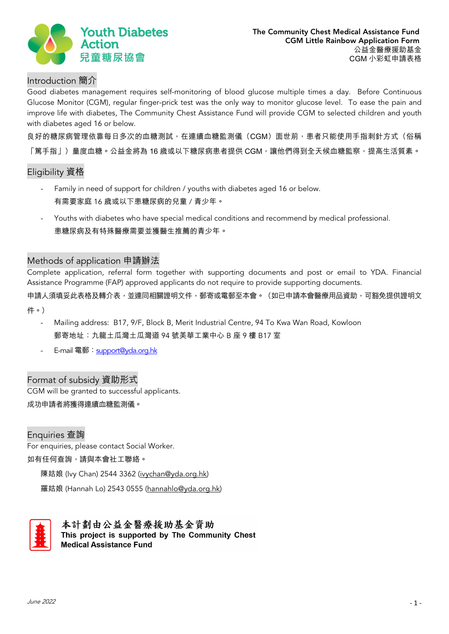

# Introduction 簡介

Good diabetes management requires self-monitoring of blood glucose multiple times a day. Before Continuous Glucose Monitor (CGM), regular finger-prick test was the only way to monitor glucose level. To ease the pain and improve life with diabetes, The Community Chest Assistance Fund will provide CGM to selected children and youth with diabetes aged 16 or below.

良好的糖尿病管理依靠每日多次的血糖測試,在連續血糖監測儀(CGM)面世前,患者只能使用手指刺針方式(俗稱 「篤手指」)量度血糖。公益金將為 16 歲或以下糖尿病患者提供 CGM,讓他們得到全天候血糖監察,提高生活質素。

# Eligibility 資格

- Family in need of support for children / youths with diabetes aged 16 or below. 有需要家庭 16 歲或以下患糖尿病的兒童 / 青少年。
- Youths with diabetes who have special medical conditions and recommend by medical professional. 患糖尿病及有特殊醫療需要並獲醫生推薦的青少年。

## Methods of application 申請辦法

Complete application, referral form together with supporting documents and post or email to YDA. Financial Assistance Programme (FAP) approved applicants do not require to provide supporting documents.

申請人須填妥此表格及轉介表,並連同相關證明文件,郵寄或電郵至本會。(如已申請本會醫療用品資助,可豁免提供證明文 件。)

- Mailing address: B17, 9/F, Block B, Merit Industrial Centre, 94 To Kwa Wan Road, Kowloon 郵寄地址:九龍土瓜灣土瓜灣道 94 號美華工業中心 B 座 9 樓 B17 室
- E-mail 電郵 [support@yda.org.hk](mailto:support@yda.org.hk)

## Format of subsidy 資助形式

CGM will be granted to successful applicants. 成功申請者將獲得連續血糖監測儀。

Enquiries 查詢 For enquiries, please contact Social Worker. 如有任何查詢,請與本會社工聯絡。

陳姑娘 (Ivy Chan) 2544 3362 [\(ivychan@yda.org.hk\)](mailto:ivychan@yda.org.hk) 

羅姑娘 (Hannah Lo) 2543 0555 [\(hannahlo@yda.org.hk\)](mailto:hannahlo@yda.org.hk)



本計劃由公益金醫療援助基金資助 This project is supported by The Community Chest **Medical Assistance Fund**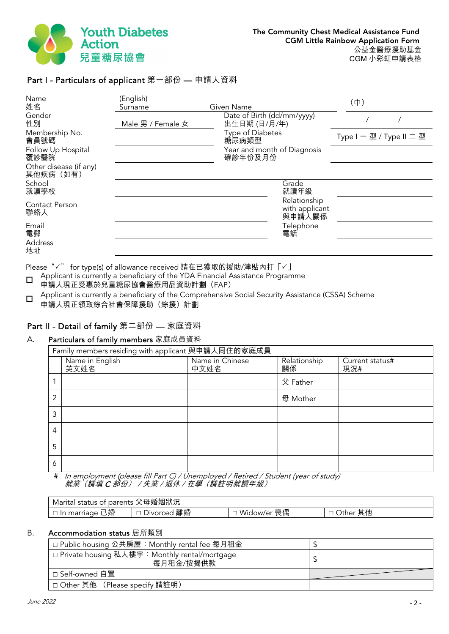

# Part I - Particulars of applicant 第一部份 — 申請人資料

| Name<br>姓名                          | (English)<br>Surname | Given Name                                 | (中)                      |
|-------------------------------------|----------------------|--------------------------------------------|--------------------------|
| Gender<br>性別                        | Male 男 / Female 女    | Date of Birth (dd/mm/yyyy)<br>出生日期 (日/月/年) |                          |
| Membership No.<br>會員號碼              |                      | Type of Diabetes<br>糖尿病類型                  | Type I - 型 / Type II 二 型 |
| Follow Up Hospital<br>覆診醫院          |                      | Year and month of Diagnosis<br>確診年份及月份     |                          |
| Other disease (if any)<br>其他疾病 (如有) |                      |                                            |                          |
| School<br>就讀學校                      |                      | Grade<br>就讀年級                              |                          |
| Contact Person<br>聯絡人               |                      | Relationship<br>with applicant<br>與申請人關係   |                          |
| Email<br>電郵                         |                      | Telephone<br>電話                            |                          |
| Address<br>地址                       |                      |                                            |                          |

Please "√" for type(s) of allowance received 請在已獲取的援助/津貼內打「√」

Applicant is currently a beneficiary of the YDA Financial Assistance Programme

申請人現正受惠於兒童糖尿協會醫療用品資助計劃(FAP)

Applicant is currently a beneficiary of the Comprehensive Social Security Assistance (CSSA) Scheme 申請人現正領取綜合社會保障援助(綜援)計劃

#### Part II - Detail of family 第二部份 — 家庭資料

#### A. Particulars of family members 家庭成員資料

|                | Family members residing with applicant 與申請人同住的家庭成員 |                         |                    |                        |  |
|----------------|----------------------------------------------------|-------------------------|--------------------|------------------------|--|
|                | Name in English<br>英文姓名                            | Name in Chinese<br>中文姓名 | Relationship<br>關係 | Current status#<br>現況# |  |
|                |                                                    |                         | 父 Father           |                        |  |
| $\overline{2}$ |                                                    |                         | 母 Mother           |                        |  |
| 3              |                                                    |                         |                    |                        |  |
| 4              |                                                    |                         |                    |                        |  |
| 5              |                                                    |                         |                    |                        |  |
| 6              | $\sim$ $\sim$                                      |                         |                    |                        |  |

# In employment (please fill Part C) / Unemployed / Retired / Student (year of study) 就業(請填 C 部份) / 失業 / 退休 / 在學(請註明就讀年級)

| l Marital status of parents 父母婚姻狀況 |             |             |                    |
|------------------------------------|-------------|-------------|--------------------|
| □ In marriage 已婚                   | Divorced 離婚 | Widow/er 喪偶 | 其他<br><b>Other</b> |

#### B. Accommodation status 居所類別

| □ Public housing 公共房屋: Monthly rental fee 每月租金               |  |
|--------------------------------------------------------------|--|
| ,□ Private housing 私人樓宇:Monthly rental/mortgage<br>每月租金/按揭供款 |  |
| □ Self-owned 自置                                              |  |
| □ Other 其他 (Please specify 請註明)                              |  |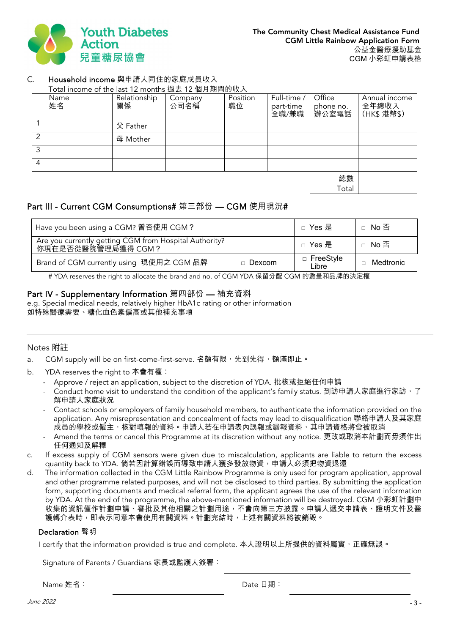

### C. Household income 與申請人同住的家庭成員收入

Total income of the last 12 months 過去 12 個月期間的收入

|                | Name<br>姓名 | Relationship<br>關係 | Company<br>公司名稱 | Position<br>職位 | Full-time /<br>part-time<br>全職/兼職 | Office<br>phone no.<br>辦公室電話 | Annual income<br>全年總收入<br>(HK\$ 港幣\$) |
|----------------|------------|--------------------|-----------------|----------------|-----------------------------------|------------------------------|---------------------------------------|
|                |            | 父 Father           |                 |                |                                   |                              |                                       |
| $\overline{2}$ |            | 母 Mother           |                 |                |                                   |                              |                                       |
| 3              |            |                    |                 |                |                                   |                              |                                       |
| $\overline{4}$ |            |                    |                 |                |                                   |                              |                                       |
|                |            |                    |                 |                |                                   | 總數                           |                                       |
|                |            |                    |                 |                |                                   | Total                        |                                       |

# Part III - Current CGM Consumptions# 第三部份 — CGM 使用現況#

| Have you been using a CGM? 曾否使用 CGM?                                          |               | □ Yes 是                   | □ No 否    |
|-------------------------------------------------------------------------------|---------------|---------------------------|-----------|
| Are you currently getting CGM from Hospital Authority?<br>你現在是否從醫院管理局獲得 CGM ? |               | □ Yes 是                   | □ No 否    |
| Brand of CGM currently using 現使用之 CGM 品牌                                      | $\Box$ Dexcom | $\Box$ FreeStyle<br>Libre | Medtronic |

# YDA reserves the right to allocate the brand and no. of CGM YDA 保留分配 CGM 的數量和品牌的決定權

## Part IV - Supplementary Information 第四部份 — 補充資料

e.g. Special medical needs, relatively higher HbA1c rating or other information 如特殊醫療需要、糖化血色素偏高或其他補充事項

#### Notes 附註

- a. CGM supply will be on first-come-first-serve. 名額有限,先到先得,額滿即止。
- b. YDA reserves the right to 本會有權:
	- Approve / reject an application, subject to the discretion of YDA. 批核或拒絕任何申請
	- Conduct home visit to understand the condition of the applicant's family status. 到訪申請人家庭進行家訪, 了 解申請人家庭狀況
	- Contact schools or employers of family household members, to authenticate the information provided on the application. Any misrepresentation and concealment of facts may lead to disqualification 聯絡申請人及其家庭 成員的學校或僱主,核對填報的資料。申請人若在申請表內誤報或漏報資料,其申請資格將會被取消
	- Amend the terms or cancel this Programme at its discretion without any notice. 更改或取消本計劃而毋須作出 任何通知及解釋
- c. If excess supply of CGM sensors were given due to miscalculation, applicants are liable to return the excess quantity back to YDA. 倘若因計算錯誤而導致申請人獲多發放物資<sup>,</sup>申請人必須把物資退還
- d. The information collected in the CGM Little Rainbow Programme is only used for program application, approval and other programme related purposes, and will not be disclosed to third parties. By submitting the application form, supporting documents and medical referral form, the applicant agrees the use of the relevant information by YDA. At the end of the programme, the above-mentioned information will be destroyed. CGM 小彩虹計劃中 收集的資訊僅作計劃申請、審批及其他相關之計劃用途,不會向第三方披露。申請人遞交申請表、證明文件及醫 護轉介表時,即表示同意本會使用有關資料。計劃完結時,上述有關資料將被銷毀。

#### Declaration 聲明

I certify that the information provided is true and complete. 本人證明以上所提供的資料屬實, 正確無誤。

Signature of Parents / Guardians 家長或監護人簽署:

Name 姓名: Date 日期: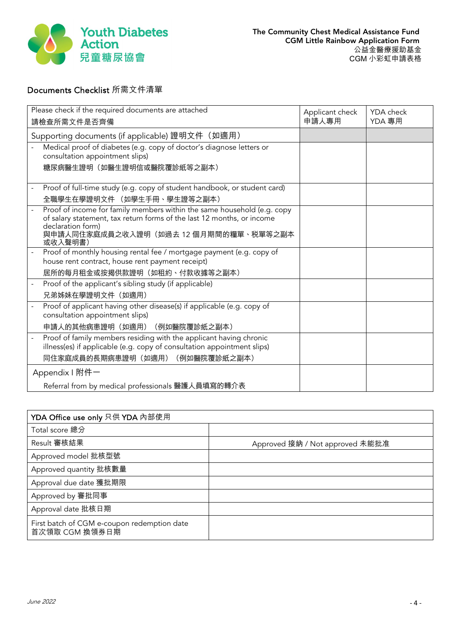

# Documents Checklist 所需文件清單

| Please check if the required documents are attached<br>請檢查所需文件是否齊備                                                                                                                                              | Applicant check<br>申請人專用 | YDA check<br>YDA 專用 |
|-----------------------------------------------------------------------------------------------------------------------------------------------------------------------------------------------------------------|--------------------------|---------------------|
| Supporting documents (if applicable) 證明文件 (如適用)                                                                                                                                                                 |                          |                     |
| Medical proof of diabetes (e.g. copy of doctor's diagnose letters or<br>consultation appointment slips)                                                                                                         |                          |                     |
| 糖尿病醫生證明(如醫生證明信或醫院覆診紙等之副本)                                                                                                                                                                                       |                          |                     |
| Proof of full-time study (e.g. copy of student handbook, or student card)                                                                                                                                       |                          |                     |
| 全職學生在學證明文件 (如學生手冊、學生證等之副本)                                                                                                                                                                                      |                          |                     |
| Proof of income for family members within the same household (e.g. copy<br>of salary statement, tax return forms of the last 12 months, or income<br>declaration form)<br>與申請人同住家庭成員之收入證明(如過去 12 個月期間的糧單、税單等之副本 |                          |                     |
| 或收入聲明書)                                                                                                                                                                                                         |                          |                     |
| Proof of monthly housing rental fee / mortgage payment (e.g. copy of<br>house rent contract, house rent payment receipt)                                                                                        |                          |                     |
| 居所的每月租金或按揭供款證明(如租約、付款收據等之副本)                                                                                                                                                                                    |                          |                     |
| Proof of the applicant's sibling study (if applicable)                                                                                                                                                          |                          |                     |
| 兄弟姊妹在學證明文件 (如適用)                                                                                                                                                                                                |                          |                     |
| Proof of applicant having other disease(s) if applicable (e.g. copy of                                                                                                                                          |                          |                     |
| consultation appointment slips)                                                                                                                                                                                 |                          |                     |
| 申請人的其他病患證明 (如適用) (例如醫院覆診紙之副本)                                                                                                                                                                                   |                          |                     |
| Proof of family members residing with the applicant having chronic                                                                                                                                              |                          |                     |
| illness(es) if applicable (e.g. copy of consultation appointment slips)                                                                                                                                         |                          |                     |
| 同住家庭成員的長期病患證明(如適用)(例如醫院覆診紙之副本)                                                                                                                                                                                  |                          |                     |
| Appendix I 附件一                                                                                                                                                                                                  |                          |                     |
| Referral from by medical professionals 醫護人員填寫的轉介表                                                                                                                                                               |                          |                     |

| YDA Office use only 只供 YDA 內部使用                               |                                 |
|---------------------------------------------------------------|---------------------------------|
| Total score 總分                                                |                                 |
| Result 審核結果                                                   | Approved 接納 / Not approved 未能批准 |
| Approved model 批核型號                                           |                                 |
| Approved quantity 批核數量                                        |                                 |
| Approval due date 獲批期限                                        |                                 |
| Approved by 審批同事                                              |                                 |
| Approval date 批核日期                                            |                                 |
| First batch of CGM e-coupon redemption date<br>首次領取 CGM 換領券日期 |                                 |